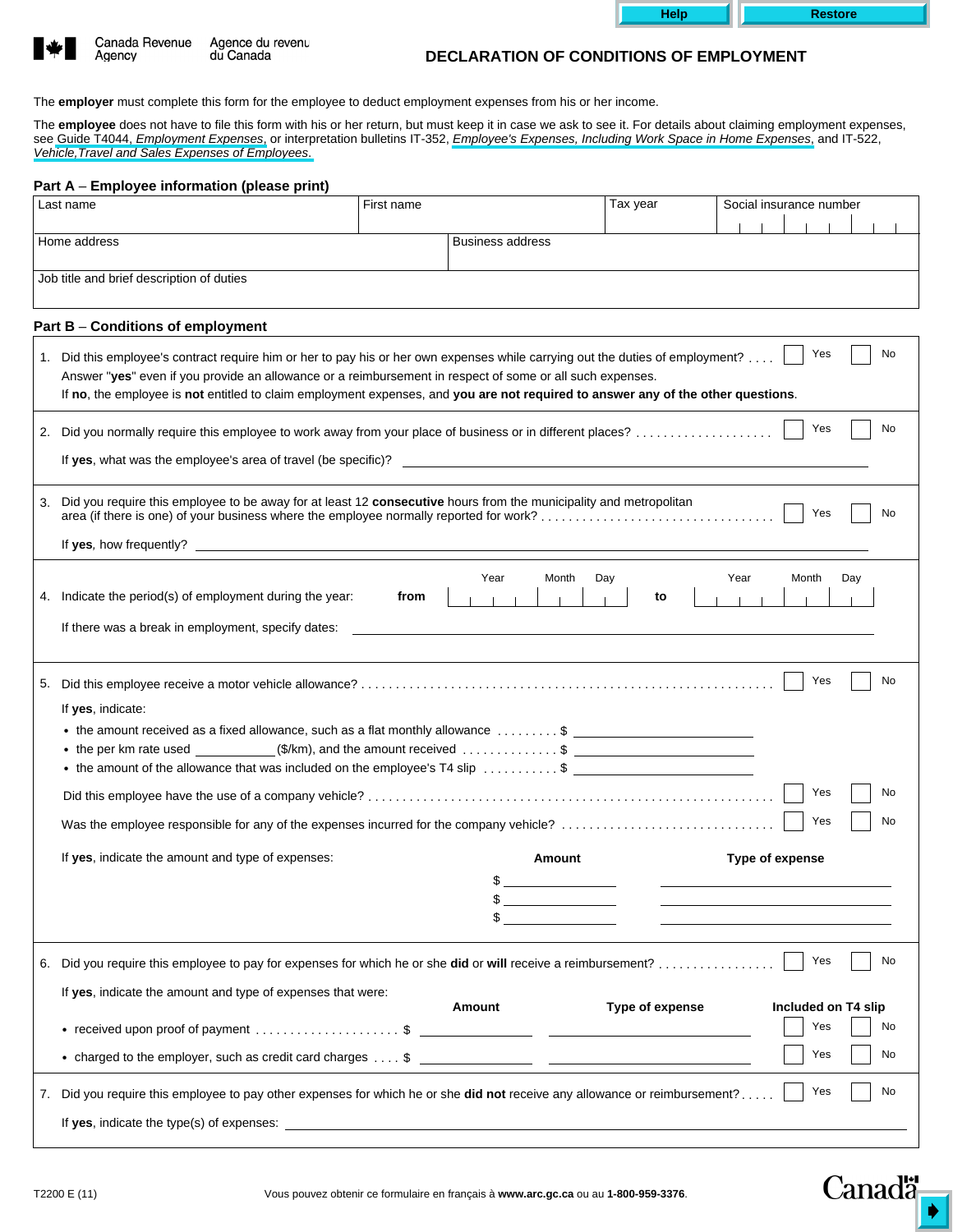| <b>Help</b> |
|-------------|
|-------------|

**Restore** 



Agency

Canada Revenue Agence du revenu du Canada

## **DECLARATION OF CONDITIONS OF EMPLOYMENT**

The **employer** must complete this form for the employee to deduct employment expenses from his or her income.

The **employee** does not have to file this form with his or her return, but must keep it in case we ask to see it. For details about claiming employment expenses, see Guide T4044, *Employment Expenses*, or interpretation bulletins IT-352, *Employee's Expenses, Including Work Space in Home Expenses*, and IT-522, *Vehicle,Travel and Sales Expenses of Employees*.

## **Part A** – **Employee information (please print)**

| Last name                                 |                                                                                                                                                                                                                                                                                                                                                                                 | First name |                                       | Tax year        | Social insurance number             |  |  |  |
|-------------------------------------------|---------------------------------------------------------------------------------------------------------------------------------------------------------------------------------------------------------------------------------------------------------------------------------------------------------------------------------------------------------------------------------|------------|---------------------------------------|-----------------|-------------------------------------|--|--|--|
|                                           |                                                                                                                                                                                                                                                                                                                                                                                 |            |                                       |                 |                                     |  |  |  |
| Home address                              |                                                                                                                                                                                                                                                                                                                                                                                 |            | <b>Business address</b>               |                 |                                     |  |  |  |
| Job title and brief description of duties |                                                                                                                                                                                                                                                                                                                                                                                 |            |                                       |                 |                                     |  |  |  |
|                                           |                                                                                                                                                                                                                                                                                                                                                                                 |            |                                       |                 |                                     |  |  |  |
|                                           | Part B - Conditions of employment                                                                                                                                                                                                                                                                                                                                               |            |                                       |                 |                                     |  |  |  |
|                                           | 1. Did this employee's contract require him or her to pay his or her own expenses while carrying out the duties of employment?<br>Answer "yes" even if you provide an allowance or a reimbursement in respect of some or all such expenses.<br>If no, the employee is not entitled to claim employment expenses, and you are not required to answer any of the other questions. |            |                                       |                 | Yes<br>No                           |  |  |  |
|                                           | 2. Did you normally require this employee to work away from your place of business or in different places?                                                                                                                                                                                                                                                                      |            |                                       |                 | Yes<br>No                           |  |  |  |
|                                           |                                                                                                                                                                                                                                                                                                                                                                                 |            |                                       |                 |                                     |  |  |  |
| 3.                                        | Did you require this employee to be away for at least 12 consecutive hours from the municipality and metropolitan<br>area (if there is one) of your business where the employee normally reported for work?                                                                                                                                                                     |            |                                       |                 | Yes<br>No                           |  |  |  |
|                                           |                                                                                                                                                                                                                                                                                                                                                                                 |            |                                       |                 |                                     |  |  |  |
|                                           | 4. Indicate the period(s) of employment during the year:<br>If there was a break in employment, specify dates:                                                                                                                                                                                                                                                                  | from       | Year<br>Month                         | Day<br>to       | Year<br>Month<br>Day                |  |  |  |
| If yes, indicate:                         | • the per km rate used $\qquad \qquad (\$/km)$ , and the amount received $\ldots \ldots \ldots \quad$ \$<br>• the amount of the allowance that was included on the employee's T4 slip \$                                                                                                                                                                                        |            |                                       |                 | Yes<br>No<br>Yes<br>No<br>Yes<br>No |  |  |  |
|                                           |                                                                                                                                                                                                                                                                                                                                                                                 |            |                                       |                 |                                     |  |  |  |
|                                           | If yes, indicate the amount and type of expenses:                                                                                                                                                                                                                                                                                                                               |            | <b>Amount</b>                         |                 | Type of expense                     |  |  |  |
|                                           |                                                                                                                                                                                                                                                                                                                                                                                 |            | \$<br><u> 1990 - Jan Alexandria (</u> |                 |                                     |  |  |  |
|                                           | 6. Did you require this employee to pay for expenses for which he or she did or will receive a reimbursement?                                                                                                                                                                                                                                                                   |            |                                       |                 | Yes<br>No                           |  |  |  |
|                                           | If yes, indicate the amount and type of expenses that were:                                                                                                                                                                                                                                                                                                                     |            | Amount                                | Type of expense | Included on T4 slip                 |  |  |  |
|                                           |                                                                                                                                                                                                                                                                                                                                                                                 |            |                                       |                 | Yes<br>No                           |  |  |  |
|                                           |                                                                                                                                                                                                                                                                                                                                                                                 |            |                                       |                 | Yes<br>No                           |  |  |  |
|                                           | 7. Did you require this employee to pay other expenses for which he or she did not receive any allowance or reimbursement?                                                                                                                                                                                                                                                      |            |                                       |                 | Yes<br>No                           |  |  |  |
|                                           |                                                                                                                                                                                                                                                                                                                                                                                 |            |                                       |                 |                                     |  |  |  |
|                                           |                                                                                                                                                                                                                                                                                                                                                                                 |            |                                       |                 |                                     |  |  |  |

**Canada**